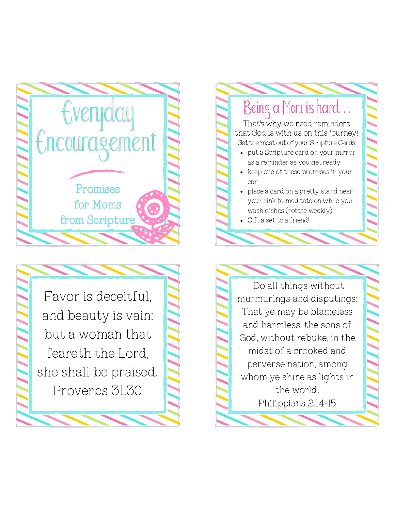



Being a Mom is hard. put a Scripture card on your mirror as a reminder as you get ready • keep one of these promises in your car • place a card on a pretty stand near your sink to meditate on while you wash dishes (rotate weekly) Gift a set to a friend! Get the most out of your Scripture Cards: That's why we need reminders that God is with us on this journey!

Do all things without murmurings and disputings: That ye may be blameless and harmless, the sons of God, without rebuke, in the midst of a crooked and perverse nation, among whom ye shine as lights in the world. Philippians 2:14-15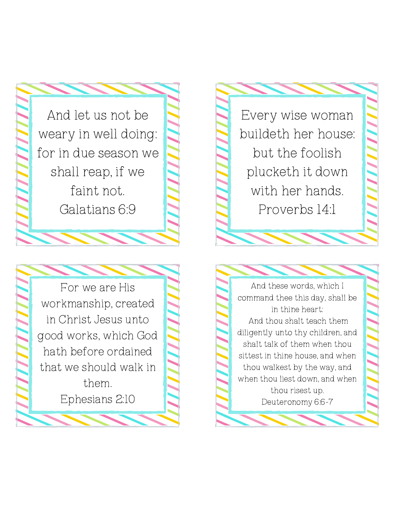And let us not be weary in well doing: for in due season we shall reap, if we faint not. Galatians 6:9

For we are His workmanship, created in Christ Jesus unto good works, which God hath before ordained that we should walk in them. Ephesians 2:10

Every wise woman buildeth her house: but the foolish plucketh it down with her hands. Proverbs 14:1

And these words, which I command thee this day, shall be in thine heart: And thou shalt teach them diligently unto thy children, and shalt talk of them when thou sittest in thine house, and when thou walkest by the way, and when thou liest down, and when thou risest up. Deuteronomy 6:6-7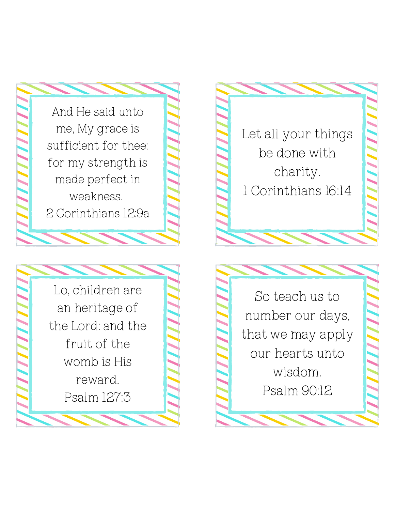

reward.

Psalm 127:3

Let all your things be done with charity. 1 Corinthians 1 6:1 4

So teach us to n u m b e r o u r d a y s, that we may apply our hearts unto wisdom. Psalm 90:12